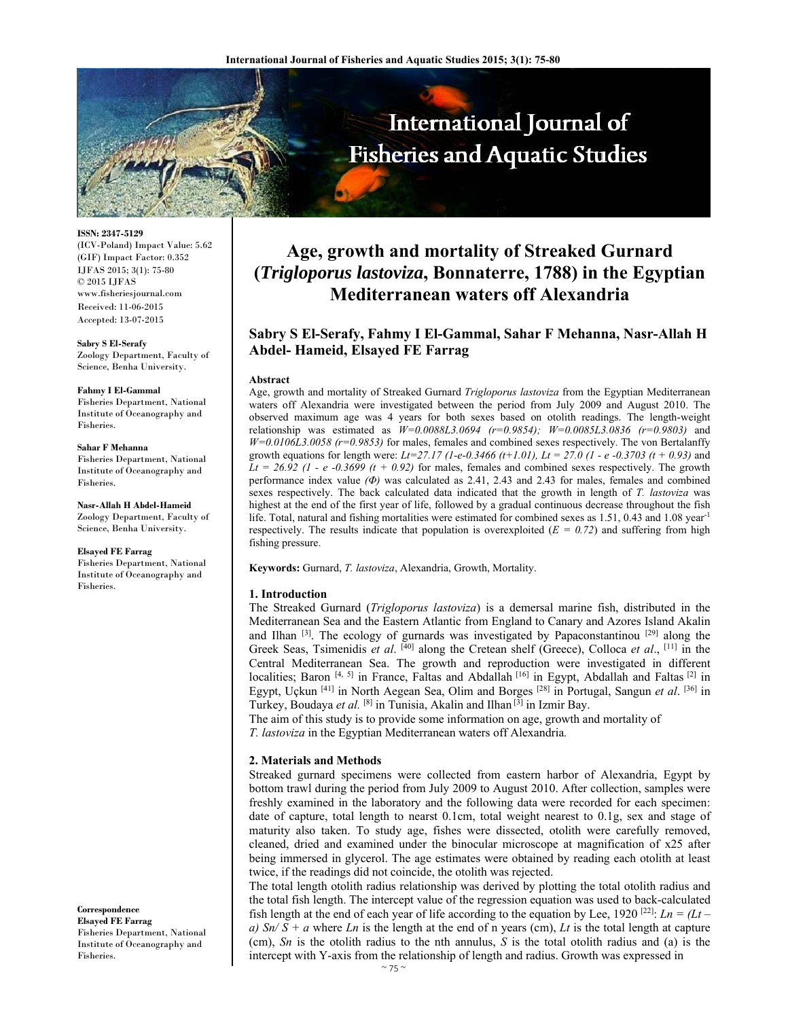

**ISSN: 2347-5129** 

(ICV-Poland) Impact Value: 5.62 (GIF) Impact Factor: 0.352 IJFAS 2015; 3(1): 75-80 © 2015 IJFAS www.fisheriesjournal.com Received: 11-06-2015 Accepted: 13-07-2015

**Sabry S El-Serafy**  Zoology Department, Faculty of Science, Benha University.

#### **Fahmy I El-Gammal**

Fisheries Department, National Institute of Oceanography and Fisheries.

#### **Sahar F Mehanna**

Fisheries Department, National Institute of Oceanography and Fisheries.

**Nasr-Allah H Abdel-Hameid**  Zoology Department, Faculty of Science, Benha University.

# **Elsayed FE Farrag**

Fisheries Department, National Institute of Oceanography and Fisheries.

**Correspondence Elsayed FE Farrag**  Fisheries Department, National Institute of Oceanography and Fisheries.

# **Age, growth and mortality of Streaked Gurnard (***Trigloporus lastoviza***, Bonnaterre, 1788) in the Egyptian Mediterranean waters off Alexandria**

# **Sabry S El-Serafy, Fahmy I El-Gammal, Sahar F Mehanna, Nasr-Allah H Abdel- Hameid, Elsayed FE Farrag**

#### **Abstract**

Age, growth and mortality of Streaked Gurnard *Trigloporus lastoviza* from the Egyptian Mediterranean waters off Alexandria were investigated between the period from July 2009 and August 2010. The observed maximum age was 4 years for both sexes based on otolith readings. The length-weight relationship was estimated as *W=0.0088L3.0694 (r=0.9854); W=0.0085L3.0836 (r=0.9803)* and *W=0.0106L3.0058 (r=0.9853)* for males, females and combined sexes respectively. The von Bertalanffy growth equations for length were:  $Lt=27.17$  (1-e-0.3466 (t+1.01),  $Lt = 27.0$  (1 - e -0.3703 (t + 0.93) and  $Lt = 26.92$  (1 - e -0.3699 (t + 0.92) for males, females and combined sexes respectively. The growth performance index value *(Φ)* was calculated as 2.41, 2.43 and 2.43 for males, females and combined sexes respectively. The back calculated data indicated that the growth in length of *T. lastoviza* was highest at the end of the first year of life, followed by a gradual continuous decrease throughout the fish life. Total, natural and fishing mortalities were estimated for combined sexes as 1.51, 0.43 and 1.08 year<sup>-1</sup> respectively. The results indicate that population is overexploited  $(E = 0.72)$  and suffering from high fishing pressure.

**Keywords:** Gurnard, *T. lastoviza*, Alexandria, Growth, Mortality.

#### **1. Introduction**

The Streaked Gurnard (*Trigloporus lastoviza*) is a demersal marine fish, distributed in the Mediterranean Sea and the Eastern Atlantic from England to Canary and Azores Island Akalin and Ilhan <sup>[3]</sup>. The ecology of gurnards was investigated by Papaconstantinou <sup>[29]</sup> along the Greek Seas, Tsimenidis *et al*. [40] along the Cretean shelf (Greece), Colloca *et al*., [11] in the Central Mediterranean Sea. The growth and reproduction were investigated in different localities; Baron [4, 5] in France, Faltas and Abdallah [16] in Egypt, Abdallah and Faltas [2] in Egypt, Uçkun [41] in North Aegean Sea, Olim and Borges [28] in Portugal, Sangun *et al*. [36] in Turkey, Boudaya *et al.* [8] in Tunisia, Akalin and Ilhan [3] in Izmir Bay.

The aim of this study is to provide some information on age, growth and mortality of *T. lastoviza* in the Egyptian Mediterranean waters off Alexandria*.*

#### **2. Materials and Methods**

Streaked gurnard specimens were collected from eastern harbor of Alexandria, Egypt by bottom trawl during the period from July 2009 to August 2010. After collection, samples were freshly examined in the laboratory and the following data were recorded for each specimen: date of capture, total length to nearst 0.1cm, total weight nearest to 0.1g, sex and stage of maturity also taken. To study age, fishes were dissected, otolith were carefully removed, cleaned, dried and examined under the binocular microscope at magnification of x25 after being immersed in glycerol. The age estimates were obtained by reading each otolith at least twice, if the readings did not coincide, the otolith was rejected.

The total length otolith radius relationship was derived by plotting the total otolith radius and the total fish length. The intercept value of the regression equation was used to back-calculated fish length at the end of each year of life according to the equation by Lee, 1920 <sup>[22]</sup>:  $Ln = (Lt$ *a)*  $Sn/S + a$  where *Ln* is the length at the end of n years (cm), *Lt* is the total length at capture (cm), *Sn* is the otolith radius to the nth annulus, *S* is the total otolith radius and (a) is the intercept with Y-axis from the relationship of length and radius. Growth was expressed in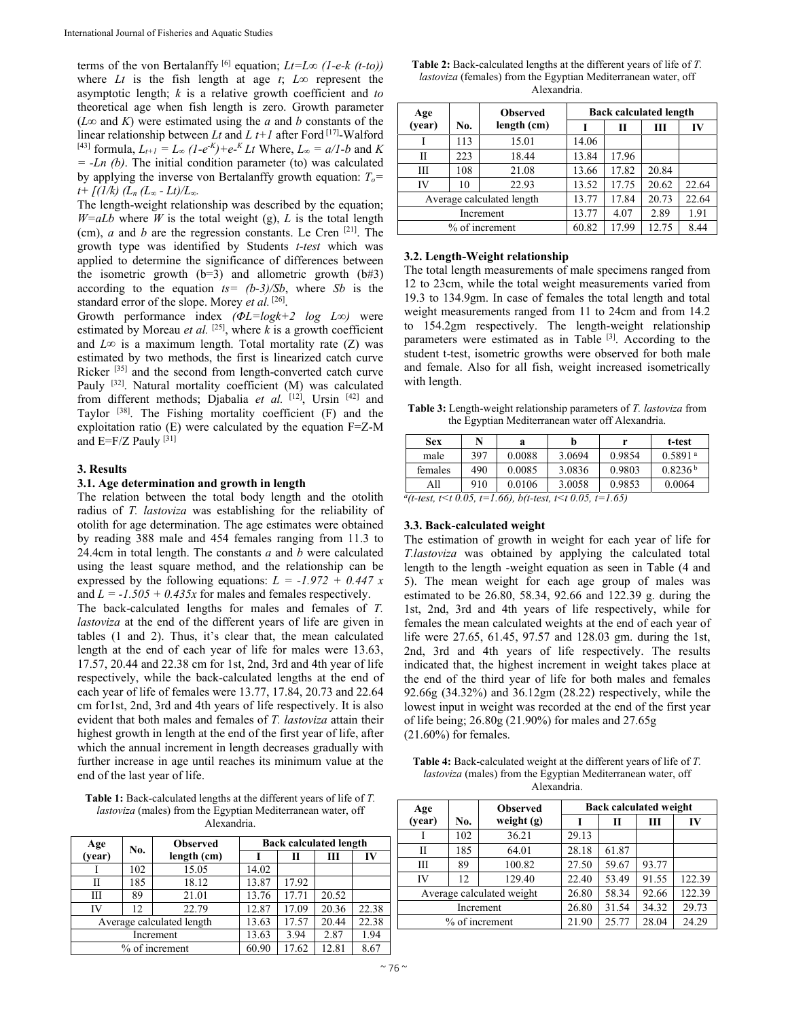terms of the von Bertalanffy <sup>[6]</sup> equation;  $Lt=L\infty$  (1-e-k (t-to)) where *Lt* is the fish length at age  $t$ ;  $L\infty$  represent the asymptotic length; *k* is a relative growth coefficient and *to*  theoretical age when fish length is zero. Growth parameter (*L∞* and *K*) were estimated using the *a* and *b* constants of the linear relationship between *Lt* and *L t+1* after Ford [17]-Walford  $[^{43}]$  formula,  $L_{t+1} = L_{\infty} (1-e^{-K}) + e^{-K} L t$  Where,  $L_{\infty} = a/I - b$  and *K = -Ln (b)*. The initial condition parameter (to) was calculated by applying the inverse von Bertalanffy growth equation:  $T<sub>o</sub>=$  $t + \frac{f(1/k)}{(L_n (L_\infty - L_t)/L_\infty)}$ .

The length-weight relationship was described by the equation;  $W=$ *aLb* where *W* is the total weight (g), *L* is the total length (cm), *a* and *b* are the regression constants. Le Cren [21]. The growth type was identified by Students *t-test* which was applied to determine the significance of differences between the isometric growth  $(b=3)$  and allometric growth  $(b#3)$ according to the equation *ts= (b-3)/Sb*, where *Sb* is the standard error of the slope. Morey *et al.* [26].

Growth performance index *(ΦL=logk+2 log L∞)* were estimated by Moreau *et al.*  $^{[25]}$ , where *k* is a growth coefficient and  $L\infty$  is a maximum length. Total mortality rate (Z) was estimated by two methods, the first is linearized catch curve Ricker [35] and the second from length-converted catch curve Pauly <a>[32]</a>. Natural mortality coefficient (M) was calculated from different methods; Djabalia et al. [12], Ursin [42] and Taylor  $[38]$ . The Fishing mortality coefficient  $(F)$  and the exploitation ratio (E) were calculated by the equation F=Z-M and  $E=F/Z$  Pauly  $[31]$ 

#### **3. Results**

#### **3.1. Age determination and growth in length**

The relation between the total body length and the otolith radius of *T. lastoviza* was establishing for the reliability of otolith for age determination. The age estimates were obtained by reading 388 male and 454 females ranging from 11.3 to 24.4cm in total length. The constants *a* and *b* were calculated using the least square method, and the relationship can be expressed by the following equations:  $L = -1.972 + 0.447 x$ and  $L = -1.505 + 0.435x$  for males and females respectively. The back-calculated lengths for males and females of *T. lastoviza* at the end of the different years of life are given in tables (1 and 2). Thus, it's clear that, the mean calculated length at the end of each year of life for males were 13.63, 17.57, 20.44 and 22.38 cm for 1st, 2nd, 3rd and 4th year of life respectively, while the back-calculated lengths at the end of each year of life of females were 13.77, 17.84, 20.73 and 22.64 cm for1st, 2nd, 3rd and 4th years of life respectively. It is also evident that both males and females of *T. lastoviza* attain their highest growth in length at the end of the first year of life, after which the annual increment in length decreases gradually with further increase in age until reaches its minimum value at the end of the last year of life.

**Table 1:** Back-calculated lengths at the different years of life of *T. lastoviza* (males) from the Egyptian Mediterranean water, off Alexandria.

| Age       | No. | <b>Observed</b>           | <b>Back calculated length</b> |       |       |       |  |
|-----------|-----|---------------------------|-------------------------------|-------|-------|-------|--|
| (year)    |     | length (cm)               |                               | П     | Ш     | IV    |  |
|           | 102 | 15.05                     | 14.02                         |       |       |       |  |
| Н         | 185 | 18.12                     | 13.87                         | 17.92 |       |       |  |
| Ш         | 89  | 21.01                     | 13.76                         | 17.71 | 20.52 |       |  |
| IV        | 12  | 22.79                     | 12.87                         | 17.09 | 20.36 | 22.38 |  |
|           |     | Average calculated length | 13.63                         | 17.57 | 20.44 | 22.38 |  |
| Increment |     | 13.63                     | 3.94                          | 2.87  | 1.94  |       |  |
|           |     | % of increment            | 60.90                         | 17.62 | 12.81 | 8.67  |  |

**Table 2:** Back-calculated lengths at the different years of life of *T. lastoviza* (females) from the Egyptian Mediterranean water, off Alexandria.

| Age    |     | <b>Observed</b>           | <b>Back calculated length</b> |       |       |       |  |
|--------|-----|---------------------------|-------------------------------|-------|-------|-------|--|
| (year) | No. | length (cm)               |                               | Н     | Ш     | IV    |  |
|        | 113 | 15.01                     | 14.06                         |       |       |       |  |
| Н      | 223 | 18.44                     | 13.84                         | 17.96 |       |       |  |
| Ш      | 108 | 21.08                     | 13.66                         | 17.82 | 20.84 |       |  |
| IV     | 10  | 22.93                     | 13.52                         | 17.75 | 20.62 | 22.64 |  |
|        |     | Average calculated length | 13.77                         | 17.84 | 20.73 | 22.64 |  |
|        |     | Increment                 | 13.77                         | 4.07  | 2.89  | 1.91  |  |
|        |     | % of increment            | 60.82                         | 17.99 | 12.75 | 8.44  |  |

## **3.2. Length-Weight relationship**

The total length measurements of male specimens ranged from 12 to 23cm, while the total weight measurements varied from 19.3 to 134.9gm. In case of females the total length and total weight measurements ranged from 11 to 24cm and from 14.2 to 154.2gm respectively. The length-weight relationship parameters were estimated as in Table [3]. According to the student t-test, isometric growths were observed for both male and female. Also for all fish, weight increased isometrically with length.

**Table 3:** Length-weight relationship parameters of *T. lastoviza* from the Egyptian Mediterranean water off Alexandria.

| Sex     | N   | a      |        |        | t-test              |
|---------|-----|--------|--------|--------|---------------------|
| male    | 397 | 0.0088 | 3.0694 | 0.9854 | 0.5891 <sup>a</sup> |
| females | 490 | 0.0085 | 3.0836 | 0.9803 | 0.8236 <sup>b</sup> |
| A11     | 910 | 0.0106 | 3.0058 | 0.9853 | 0.0064              |
|         |     |        |        |        |                     |

*a(t-test, t<t 0.05, t=1.66), b(t-test, t<t 0.05, t=1.65)*

#### **3.3. Back-calculated weight**

The estimation of growth in weight for each year of life for *T.lastoviza* was obtained by applying the calculated total length to the length -weight equation as seen in Table (4 and 5). The mean weight for each age group of males was estimated to be 26.80, 58.34, 92.66 and 122.39 g. during the 1st, 2nd, 3rd and 4th years of life respectively, while for females the mean calculated weights at the end of each year of life were 27.65, 61.45, 97.57 and 128.03 gm. during the 1st, 2nd, 3rd and 4th years of life respectively. The results indicated that, the highest increment in weight takes place at the end of the third year of life for both males and females 92.66g (34.32%) and 36.12gm (28.22) respectively, while the lowest input in weight was recorded at the end of the first year of life being; 26.80g (21.90%) for males and 27.65g (21.60%) for females.

**Table 4:** Back-calculated weight at the different years of life of *T. lastoviza* (males) from the Egyptian Mediterranean water, off Alexandria.

| Age       |     | <b>Observed</b>           | <b>Back calculated weight</b> |       |       |        |
|-----------|-----|---------------------------|-------------------------------|-------|-------|--------|
| (year)    | No. | weight $(g)$              |                               | Н     | Ш     | IV     |
|           | 102 | 36.21                     | 29.13                         |       |       |        |
| П         | 185 | 64.01                     | 28.18                         | 61.87 |       |        |
| Ш         | 89  | 100.82                    | 27.50                         | 59.67 | 93.77 |        |
| IV        | 12  | 129.40                    | 22.40                         | 53.49 | 91.55 | 122.39 |
|           |     | Average calculated weight | 26.80                         | 58.34 | 92.66 | 122.39 |
| Increment |     | 26.80                     | 31.54                         | 34.32 | 29.73 |        |
|           |     | % of increment            | 21.90                         | 25.77 | 28.04 | 24.29  |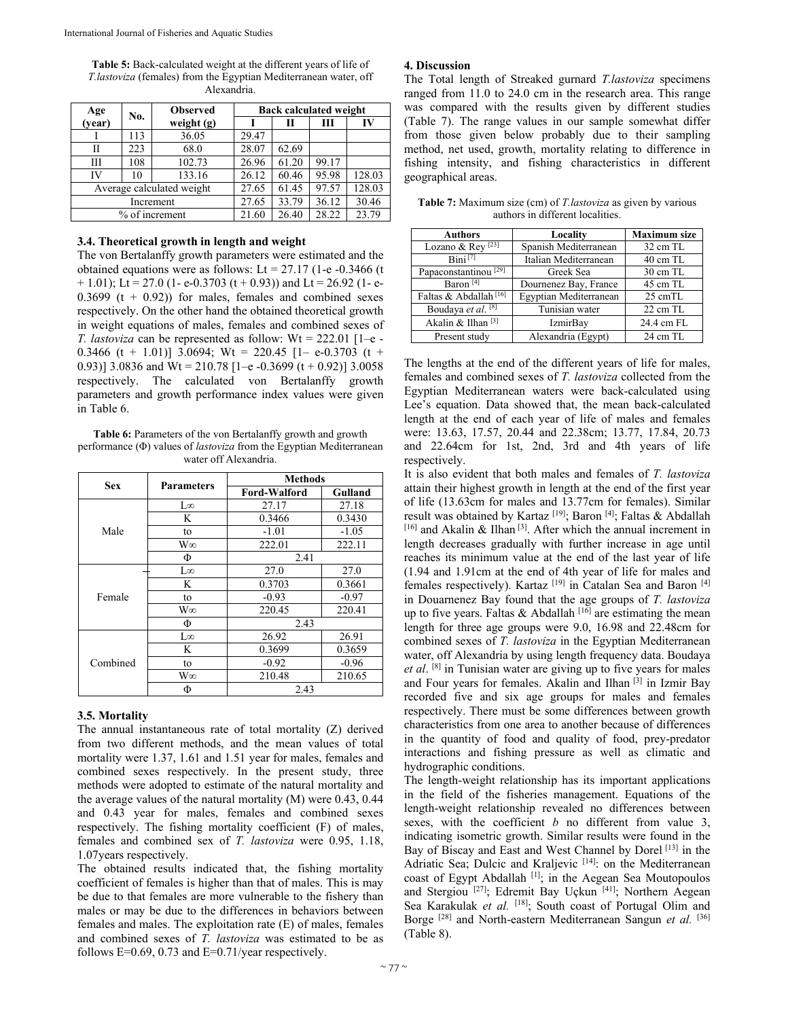**Table 5:** Back-calculated weight at the different years of life of *T.lastoviza* (females) from the Egyptian Mediterranean water, off Alexandria.

| Age       | No. | <b>Observed</b>           | <b>Back calculated weight</b> |       |       |        |  |
|-----------|-----|---------------------------|-------------------------------|-------|-------|--------|--|
| (year)    |     | weight $(g)$              |                               | П     | Ш     | IV     |  |
|           | 113 | 36.05                     | 29.47                         |       |       |        |  |
| Н         | 223 | 68.0                      | 28.07                         | 62.69 |       |        |  |
| Ш         | 108 | 102.73                    | 26.96                         | 61.20 | 99.17 |        |  |
| IV        | 10  | 133.16                    | 26.12                         | 60.46 | 95.98 | 128.03 |  |
|           |     | Average calculated weight | 27.65                         | 61.45 | 97.57 | 128.03 |  |
| Increment |     | 27.65                     | 33.79                         | 36.12 | 30.46 |        |  |
|           |     | % of increment            | 21.60                         | 26.40 | 28.22 | 23.79  |  |

#### **3.4. Theoretical growth in length and weight**

The von Bertalanffy growth parameters were estimated and the obtained equations were as follows: Lt =  $27.17$  (1-e -0.3466 (t)  $+ 1.01$ ); Lt = 27.0 (1- e-0.3703 (t + 0.93)) and Lt = 26.92 (1- e-0.3699 ( $t + 0.92$ )) for males, females and combined sexes respectively. On the other hand the obtained theoretical growth in weight equations of males, females and combined sexes of *T. lastoviza* can be represented as follow: Wt = 222.01 [1–e - 0.3466 (t + 1.01)] 3.0694; Wt = 220.45 [1– e-0.3703 (t + 0.93)] 3.0836 and Wt = 210.78 [1-e -0.3699 (t + 0.92)] 3.0058 respectively. The calculated von Bertalanffy growth parameters and growth performance index values were given in Table 6.

**Table 6:** Parameters of the von Bertalanffy growth and growth performance (Φ) values of *lastoviza* from the Egyptian Mediterranean water off Alexandria.

| <b>Sex</b> | <b>Parameters</b> | Methods             |         |  |
|------------|-------------------|---------------------|---------|--|
|            |                   | <b>Ford-Walford</b> | Gulland |  |
|            | $\infty$ .        | 27.17               | 27.18   |  |
|            | K                 | 0.3466              | 0.3430  |  |
| Male       | to                | $-1.01$             | $-1.05$ |  |
|            | W∞                | 222.01              | 222.11  |  |
|            | Ф                 | 2.41                |         |  |
|            | Lω                | 27.0                | 27.0    |  |
|            | K                 | 0.3703              | 0.3661  |  |
| Female     | to                | $-0.93$             | $-0.97$ |  |
|            | W∞                | 220.45              | 220.41  |  |
|            | Φ                 | 2.43                |         |  |
|            | $\infty$ .        | 26.92               | 26.91   |  |
| Combined   | K                 | 0.3699              | 0.3659  |  |
|            | to                | $-0.92$             | $-0.96$ |  |
|            | W∞                | 210.48              | 210.65  |  |
|            | Φ                 | 2.43                |         |  |

#### **3.5. Mortality**

The annual instantaneous rate of total mortality (Z) derived from two different methods, and the mean values of total mortality were 1.37, 1.61 and 1.51 year for males, females and combined sexes respectively. In the present study, three methods were adopted to estimate of the natural mortality and the average values of the natural mortality (M) were 0.43, 0.44 and 0.43 year for males, females and combined sexes respectively. The fishing mortality coefficient (F) of males, females and combined sex of *T. lastoviza* were 0.95, 1.18, 1.07years respectively.

The obtained results indicated that, the fishing mortality coefficient of females is higher than that of males. This is may be due to that females are more vulnerable to the fishery than males or may be due to the differences in behaviors between females and males. The exploitation rate (E) of males, females and combined sexes of *T. lastoviza* was estimated to be as follows  $E=0.69$ , 0.73 and  $E=0.71$ /year respectively.

### **4. Discussion**

The Total length of Streaked gurnard *T.lastoviza* specimens ranged from 11.0 to 24.0 cm in the research area. This range was compared with the results given by different studies (Table 7). The range values in our sample somewhat differ from those given below probably due to their sampling method, net used, growth, mortality relating to difference in fishing intensity, and fishing characteristics in different geographical areas.

**Table 7:** Maximum size (cm) of *T.lastoviza* as given by various authors in different localities.

| <b>Authors</b>                          | Locality               | <b>Maximum size</b> |
|-----------------------------------------|------------------------|---------------------|
| Lozano & Rey <sup>[23]</sup>            | Spanish Mediterranean  | 32 cm TL            |
| $\overline{\text{Rini}}$ <sup>[7]</sup> | Italian Mediterranean  | 40 cm TL            |
| Papaconstantinou <sup>[29]</sup>        | Greek Sea              | 30 cm TL            |
| Baron <sup>[4]</sup>                    | Dournenez Bay, France  | 45 cm TL            |
| Faltas & Abdallah <sup>[16]</sup>       | Egyptian Mediterranean | 25 cmTL             |
| Boudaya et al. [8]                      | Tunisian water         | $22 \text{ cm}$ TL  |
| Akalin & Ilhan <sup>[3]</sup>           | <b>IzmirBay</b>        | 24.4 cm FL          |
| Present study                           | Alexandria (Egypt)     | 24 cm TL            |

The lengths at the end of the different years of life for males, females and combined sexes of *T. lastoviza* collected from the Egyptian Mediterranean waters were back-calculated using Lee's equation. Data showed that, the mean back-calculated length at the end of each year of life of males and females were: 13.63, 17.57, 20.44 and 22.38cm; 13.77, 17.84, 20.73 and 22.64cm for 1st, 2nd, 3rd and 4th years of life respectively.

It is also evident that both males and females of *T. lastoviza*  attain their highest growth in length at the end of the first year of life (13.63cm for males and 13.77cm for females). Similar result was obtained by Kartaz<sup>[19]</sup>; Baron<sup>[4]</sup>; Faltas & Abdallah [16] and Akalin & Ilhan<sup>[3]</sup>. After which the annual increment in length decreases gradually with further increase in age until reaches its minimum value at the end of the last year of life (1.94 and 1.91cm at the end of 4th year of life for males and females respectively). Kartaz<sup>[19]</sup> in Catalan Sea and Baron<sup>[4]</sup> in Douarnenez Bay found that the age groups of *T. lastoviza*  up to five years. Faltas  $\&$  Abdallah [16] are estimating the mean length for three age groups were 9.0, 16.98 and 22.48cm for combined sexes of *T. lastoviza* in the Egyptian Mediterranean water, off Alexandria by using length frequency data. Boudaya *et al*. [8] in Tunisian water are giving up to five years for males and Four years for females. Akalin and Ilhan [3] in Izmir Bay recorded five and six age groups for males and females respectively. There must be some differences between growth characteristics from one area to another because of differences in the quantity of food and quality of food, prey-predator interactions and fishing pressure as well as climatic and hydrographic conditions.

The length-weight relationship has its important applications in the field of the fisheries management. Equations of the length-weight relationship revealed no differences between sexes, with the coefficient *b* no different from value 3, indicating isometric growth. Similar results were found in the Bay of Biscay and East and West Channel by Dorel<sup>[13]</sup> in the Adriatic Sea; Dulcic and Kraljevic [14]: on the Mediterranean coast of Egypt Abdallah [1]; in the Aegean Sea Moutopoulos and Stergiou<sup>[27]</sup>; Edremit Bay Uçkun<sup>[41]</sup>; Northern Aegean Sea Karakulak et al. <sup>[18]</sup>; South coast of Portugal Olim and Borge<sup>[28]</sup> and North-eastern Mediterranean Sangun *et al.* <sup>[36]</sup> (Table 8).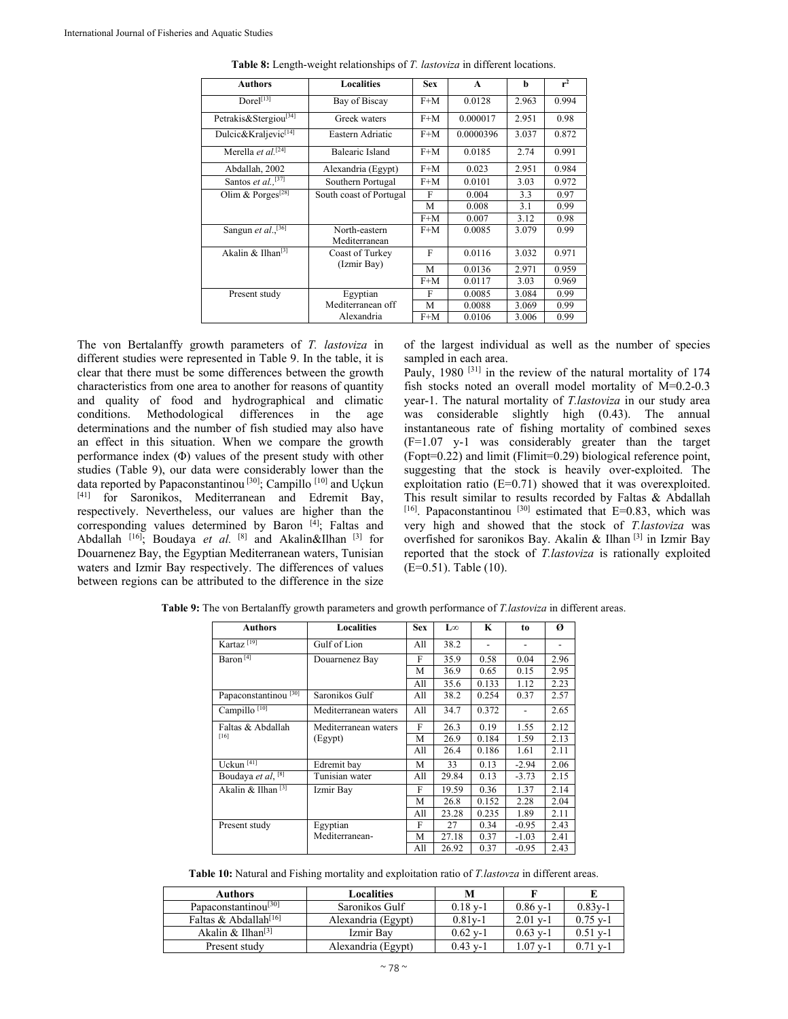| <b>Authors</b>                   | <b>Localities</b>              | <b>Sex</b> | $\mathbf{A}$ | h     | r <sup>2</sup> |
|----------------------------------|--------------------------------|------------|--------------|-------|----------------|
| Dorel <sup>[13]</sup>            | Bay of Biscay                  | $F+M$      | 0.0128       | 2.963 | 0.994          |
| Petrakis&Stergiou <a>[34]</a>    | Greek waters                   | $F+M$      | 0.000017     | 2.951 | 0.98           |
| Dulcic&Kraljevic <sup>[14]</sup> | Eastern Adriatic               | $F+M$      | 0.0000396    | 3.037 | 0.872          |
| Merella et al. <sup>[24]</sup>   | <b>Balearic Island</b>         | $F+M$      | 0.0185       | 2.74  | 0.991          |
| Abdallah, 2002                   | Alexandria (Egypt)             | $F+M$      | 0.023        | 2.951 | 0.984          |
| Santos et al., $[37]$            | Southern Portugal              | $F+M$      | 0.0101       | 3.03  | 0.972          |
| Olim & Porges <sup>[28]</sup>    | South coast of Portugal        | F          | 0.004        | 3.3   | 0.97           |
|                                  |                                | M          | 0.008        | 3.1   | 0.99           |
|                                  |                                | $F+M$      | 0.007        | 3.12  | 0.98           |
| Sangun et al., <sup>[36]</sup>   | North-eastern<br>Mediterranean | $F+M$      | 0.0085       | 3.079 | 0.99           |
| Akalin & Ilhan <sup>[3]</sup>    | Coast of Turkey                | F          | 0.0116       | 3.032 | 0.971          |
|                                  | (Izmir Bay)                    | M          | 0.0136       | 2.971 | 0.959          |
|                                  |                                | $F+M$      | 0.0117       | 3.03  | 0.969          |
| Present study                    | Egyptian                       | F          | 0.0085       | 3.084 | 0.99           |
|                                  | Mediterranean off              | M          | 0.0088       | 3.069 | 0.99           |
|                                  | Alexandria                     | $F+M$      | 0.0106       | 3.006 | 0.99           |

**Table 8:** Length-weight relationships of *T. lastoviza* in different locations.

The von Bertalanffy growth parameters of *T. lastoviza* in different studies were represented in Table 9. In the table, it is clear that there must be some differences between the growth characteristics from one area to another for reasons of quantity and quality of food and hydrographical and climatic conditions. Methodological differences in the age determinations and the number of fish studied may also have an effect in this situation. When we compare the growth performance index (Φ) values of the present study with other studies (Table 9), our data were considerably lower than the data reported by Papaconstantinou<sup>[30]</sup>; Campillo<sup>[10]</sup> and Uçkun [41] for Saronikos, Mediterranean and Edremit Bay, respectively. Nevertheless, our values are higher than the corresponding values determined by Baron [4]; Faltas and Abdallah <sup>[16]</sup>; Boudaya *et al.* <sup>[8]</sup> and Akalin&Ilhan <sup>[3]</sup> for Douarnenez Bay, the Egyptian Mediterranean waters, Tunisian waters and Izmir Bay respectively. The differences of values between regions can be attributed to the difference in the size

of the largest individual as well as the number of species sampled in each area.

Pauly, 1980<sup>[31]</sup> in the review of the natural mortality of 174 fish stocks noted an overall model mortality of M=0.2-0.3 year-1. The natural mortality of *T.lastoviza* in our study area was considerable slightly high (0.43). The annual instantaneous rate of fishing mortality of combined sexes (F=1.07 y-1 was considerably greater than the target (Fopt=0.22) and limit (Flimit=0.29) biological reference point, suggesting that the stock is heavily over-exploited. The exploitation ratio (E=0.71) showed that it was overexploited. This result similar to results recorded by Faltas & Abdallah  $[16]$ . Papaconstantinou  $[30]$  estimated that  $E=0.83$ , which was very high and showed that the stock of *T.lastoviza* was overfished for saronikos Bay. Akalin & Ilhan [3] in Izmir Bay reported that the stock of *T.lastoviza* is rationally exploited (E=0.51). Table (10).

| <b>Authors</b>                   | <b>Localities</b>    | <b>Sex</b> | L∞    | K     | to      | Ø    |
|----------------------------------|----------------------|------------|-------|-------|---------|------|
| Kartaz <sup>[19]</sup>           | Gulf of Lion         | All        | 38.2  |       |         |      |
| Baron $\sqrt[4]{ }$              | Douarnenez Bay       | F          | 35.9  | 0.58  | 0.04    | 2.96 |
|                                  |                      | М          | 36.9  | 0.65  | 0.15    | 2.95 |
|                                  |                      | All        | 35.6  | 0.133 | 1.12    | 2.23 |
| Papaconstantinou <sup>[30]</sup> | Saronikos Gulf       | All        | 38.2  | 0.254 | 0.37    | 2.57 |
| Campillo <sup>[10]</sup>         | Mediterranean waters | All        | 34.7  | 0.372 |         | 2.65 |
| Faltas & Abdallah                | Mediterranean waters | F          | 26.3  | 0.19  | 1.55    | 2.12 |
| [16]                             | (Egypt)              | М          | 26.9  | 0.184 | 1.59    | 2.13 |
|                                  |                      | All        | 26.4  | 0.186 | 1.61    | 2.11 |
| Uckun <sup>[41]</sup>            | Edremit bay          | М          | 33    | 0.13  | $-2.94$ | 2.06 |
| Boudaya et al, [8]               | Tunisian water       | All        | 29.84 | 0.13  | $-3.73$ | 2.15 |
| Akalin & Ilhan $[3]$             | Izmir Bay            | F          | 19.59 | 0.36  | 1.37    | 2.14 |
|                                  |                      | М          | 26.8  | 0.152 | 2.28    | 2.04 |
|                                  |                      | All        | 23.28 | 0.235 | 1.89    | 2.11 |
| Present study                    | Egyptian             | F          | 27    | 0.34  | $-0.95$ | 2.43 |
|                                  | Mediterranean-       | M          | 27.18 | 0.37  | $-1.03$ | 2.41 |
|                                  |                      | All        | 26.92 | 0.37  | $-0.95$ | 2.43 |

**Table 9:** The von Bertalanffy growth parameters and growth performance of *T.lastoviza* in different areas.

**Table 10:** Natural and Fishing mortality and exploitation ratio of *T.lastovza* in different areas.

| <b>Authors</b>                    | Localities         | М          |            |            |
|-----------------------------------|--------------------|------------|------------|------------|
| Papaconstantinou <sup>[30]</sup>  | Saronikos Gulf     | $0.18$ v-1 | $0.86$ y-1 | $0.83y-1$  |
| Faltas & Abdallah <sup>[16]</sup> | Alexandria (Egypt) | $0.81v-1$  | $2.01 v-1$ | $0.75$ v-1 |
| Akalin $\&$ Ilhan <sup>[3]</sup>  | Izmir Bav          | $0.62$ y-1 | $0.63$ v-1 | $0.51$ v-1 |
| Present study                     | Alexandria (Egypt) | 0.43 v-1   | . .07 v-1  | $0.71$ v-  |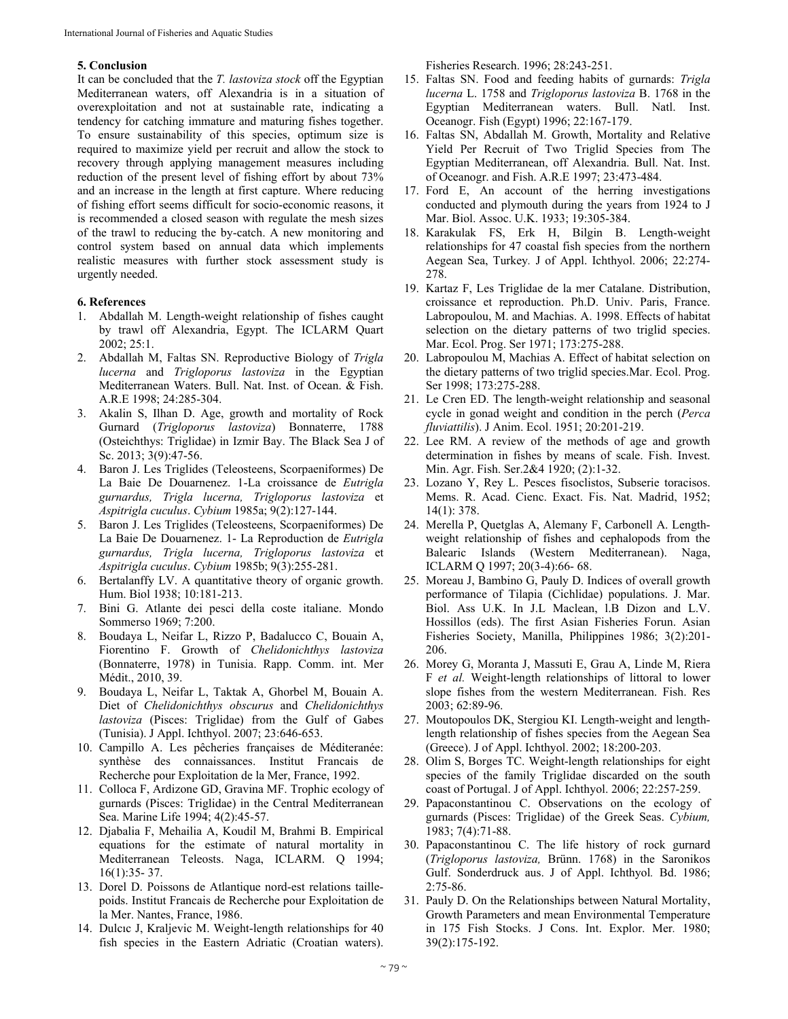## **5. Conclusion**

It can be concluded that the *T. lastoviza stock* off the Egyptian Mediterranean waters, off Alexandria is in a situation of overexploitation and not at sustainable rate, indicating a tendency for catching immature and maturing fishes together. To ensure sustainability of this species, optimum size is required to maximize yield per recruit and allow the stock to recovery through applying management measures including reduction of the present level of fishing effort by about 73% and an increase in the length at first capture. Where reducing of fishing effort seems difficult for socio-economic reasons, it is recommended a closed season with regulate the mesh sizes of the trawl to reducing the by-catch. A new monitoring and control system based on annual data which implements realistic measures with further stock assessment study is urgently needed.

#### **6. References**

- 1. Abdallah M. Length-weight relationship of fishes caught by trawl off Alexandria, Egypt. The ICLARM Quart 2002; 25:1.
- 2. Abdallah M, Faltas SN. Reproductive Biology of *Trigla lucerna* and *Trigloporus lastoviza* in the Egyptian Mediterranean Waters. Bull. Nat. Inst. of Ocean. & Fish. A.R.E 1998; 24:285-304.
- 3. Akalin S, Ilhan D. Age, growth and mortality of Rock Gurnard (*Trigloporus lastoviza*) Bonnaterre, 1788 (Osteichthys: Triglidae) in Izmir Bay. The Black Sea J of Sc. 2013; 3(9):47-56.
- 4. Baron J. Les Triglides (Teleosteens, Scorpaeniformes) De La Baie De Douarnenez. 1-La croissance de *Eutrigla gurnardus, Trigla lucerna, Trigloporus lastoviza* et *Aspitrigla cuculus*. *Cybium* 1985a; 9(2):127-144.
- 5. Baron J. Les Triglides (Teleosteens, Scorpaeniformes) De La Baie De Douarnenez. 1- La Reproduction de *Eutrigla gurnardus, Trigla lucerna, Trigloporus lastoviza* et *Aspitrigla cuculus*. *Cybium* 1985b; 9(3):255-281.
- 6. Bertalanffy LV. A quantitative theory of organic growth. Hum. Biol 1938; 10:181-213.
- 7. Bini G. Atlante dei pesci della coste italiane. Mondo Sommerso 1969; 7:200.
- 8. Boudaya L, Neifar L, Rizzo P, Badalucco C, Bouain A, Fiorentino F. Growth of *Chelidonichthys lastoviza*  (Bonnaterre, 1978) in Tunisia. Rapp. Comm. int. Mer Médit., 2010, 39.
- 9. Boudaya L, Neifar L, Taktak A, Ghorbel M, Bouain A. Diet of *Chelidonichthys obscurus* and *Chelidonichthys lastoviza* (Pisces: Triglidae) from the Gulf of Gabes (Tunisia). J Appl. Ichthyol. 2007; 23:646-653.
- 10. Campillo A. Les pêcheries françaises de Méditeranée: synthèse des connaissances. Institut Francais de Recherche pour Exploitation de la Mer, France, 1992.
- 11. Colloca F, Ardizone GD, Gravina MF. Trophic ecology of gurnards (Pisces: Triglidae) in the Central Mediterranean Sea. Marine Life 1994; 4(2):45-57.
- 12. Djabalia F, Mehailia A, Koudil M, Brahmi B. Empirical equations for the estimate of natural mortality in Mediterranean Teleosts. Naga, ICLARM. Q 1994; 16(1):35- 37.
- 13. Dorel D. Poissons de Atlantique nord-est relations taillepoids. Institut Francais de Recherche pour Exploitation de la Mer. Nantes, France, 1986.
- 14. Dulcıc J, Kraljevic M. Weight-length relationships for 40 fish species in the Eastern Adriatic (Croatian waters).

Fisheries Research. 1996; 28:243-251.

- 15. Faltas SN. Food and feeding habits of gurnards: *Trigla lucerna* L. 1758 and *Trigloporus lastoviza* B. 1768 in the Egyptian Mediterranean waters. Bull. Natl. Inst. Oceanogr. Fish (Egypt) 1996; 22:167-179.
- 16. Faltas SN, Abdallah M. Growth, Mortality and Relative Yield Per Recruit of Two Triglid Species from The Egyptian Mediterranean, off Alexandria. Bull. Nat. Inst. of Oceanogr. and Fish. A.R.E 1997; 23:473-484.
- 17. Ford E, An account of the herring investigations conducted and plymouth during the years from 1924 to J Mar. Biol. Assoc. U.K. 1933; 19:305-384.
- 18. Karakulak FS, Erk H, Bilgin B. Length-weight relationships for 47 coastal fish species from the northern Aegean Sea, Turkey*.* J of Appl. Ichthyol. 2006; 22:274- 278.
- 19. Kartaz F, Les Triglidae de la mer Catalane. Distribution, croissance et reproduction. Ph.D. Univ. Paris, France. Labropoulou, M. and Machias. A. 1998. Effects of habitat selection on the dietary patterns of two triglid species. Mar. Ecol. Prog. Ser 1971; 173:275-288.
- 20. Labropoulou M, Machias A. Effect of habitat selection on the dietary patterns of two triglid species.Mar. Ecol. Prog. Ser 1998; 173:275-288.
- 21. Le Cren ED. The length-weight relationship and seasonal cycle in gonad weight and condition in the perch (*Perca fluviattilis*). J Anim. Ecol. 1951; 20:201-219.
- 22. Lee RM. A review of the methods of age and growth determination in fishes by means of scale. Fish. Invest. Min. Agr. Fish. Ser.2&4 1920; (2):1-32.
- 23. Lozano Y, Rey L. Pesces fisoclistos, Subserie toracisos. Mems. R. Acad. Cienc. Exact. Fis. Nat. Madrid, 1952; 14(1): 378.
- 24. Merella P, Quetglas A, Alemany F, Carbonell A. Lengthweight relationship of fishes and cephalopods from the Balearic Islands (Western Mediterranean). Naga, ICLARM Q 1997; 20(3-4):66- 68.
- 25. Moreau J, Bambino G, Pauly D. Indices of overall growth performance of Tilapia (Cichlidae) populations. J. Mar. Biol. Ass U.K. In J.L Maclean, l.B Dizon and L.V. Hossillos (eds). The first Asian Fisheries Forun. Asian Fisheries Society, Manilla, Philippines 1986; 3(2):201- 206.
- 26. Morey G, Moranta J, Massuti E, Grau A, Linde M, Riera F *et al.* Weight-length relationships of littoral to lower slope fishes from the western Mediterranean. Fish. Res 2003; 62:89-96.
- 27. Moutopoulos DK, Stergiou KI. Length-weight and lengthlength relationship of fishes species from the Aegean Sea (Greece). J of Appl. Ichthyol. 2002; 18:200-203.
- 28. Olim S, Borges TC. Weight-length relationships for eight species of the family Triglidae discarded on the south coast of Portugal. J of Appl. Ichthyol. 2006; 22:257-259.
- 29. Papaconstantinou C. Observations on the ecology of gurnards (Pisces: Triglidae) of the Greek Seas. *Cybium,*  1983; 7(4):71-88.
- 30. Papaconstantinou C. The life history of rock gurnard (*Trigloporus lastoviza,* Brünn. 1768) in the Saronikos Gulf. Sonderdruck aus. J of Appl. Ichthyol*.* Bd. 1986; 2:75-86.
- 31. Pauly D. On the Relationships between Natural Mortality, Growth Parameters and mean Environmental Temperature in 175 Fish Stocks. J Cons. Int. Explor. Mer*.* 1980; 39(2):175-192.